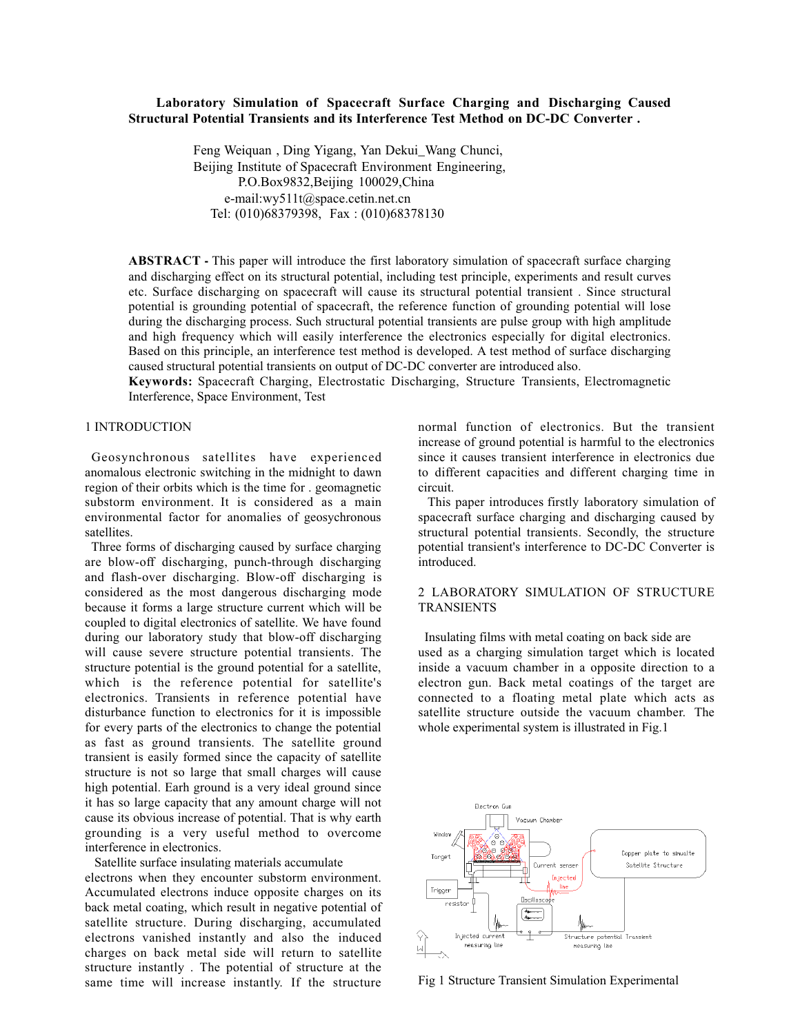## **Laboratory Simulation of Spacecraft Surface Charging and Discharging Caused Structural Potential Transients and its Interference Test Method on DC-DC Converter .**

 Feng Weiquan , Ding Yigang, Yan Dekui\_Wang Chunci, Beijing Institute of Spacecraft Environment Engineering, P.O.Box9832,Beijing 100029,China e-mail:wy511t@space.cetin.net.cn Tel: (010)68379398, Fax : (010)68378130

**ABSTRACT -** This paper will introduce the first laboratory simulation of spacecraft surface charging and discharging effect on its structural potential, including test principle, experiments and result curves etc. Surface discharging on spacecraft will cause its structural potential transient . Since structural potential is grounding potential of spacecraft, the reference function of grounding potential will lose during the discharging process. Such structural potential transients are pulse group with high amplitude and high frequency which will easily interference the electronics especially for digital electronics. Based on this principle, an interference test method is developed. A test method of surface discharging caused structural potential transients on output of DC-DC converter are introduced also.

**Keywords:** Spacecraft Charging, Electrostatic Discharging, Structure Transients, Electromagnetic Interference, Space Environment, Test

### 1 INTRODUCTION

 Geosynchronous satellites have experienced anomalous electronic switching in the midnight to dawn region of their orbits which is the time for . geomagnetic substorm environment. It is considered as a main environmental factor for anomalies of geosychronous satellites.

 Three forms of discharging caused by surface charging are blow-off discharging, punch-through discharging and flash-over discharging. Blow-off discharging is considered as the most dangerous discharging mode because it forms a large structure current which will be coupled to digital electronics of satellite. We have found during our laboratory study that blow-off discharging will cause severe structure potential transients. The structure potential is the ground potential for a satellite, which is the reference potential for satellite's electronics. Transients in reference potential have disturbance function to electronics for it is impossible for every parts of the electronics to change the potential as fast as ground transients. The satellite ground transient is easily formed since the capacity of satellite structure is not so large that small charges will cause high potential. Earh ground is a very ideal ground since it has so large capacity that any amount charge will not cause its obvious increase of potential. That is why earth grounding is a very useful method to overcome interference in electronics.

 Satellite surface insulating materials accumulate electrons when they encounter substorm environment. Accumulated electrons induce opposite charges on its back metal coating, which result in negative potential of satellite structure. During discharging, accumulated electrons vanished instantly and also the induced charges on back metal side will return to satellite structure instantly . The potential of structure at the same time will increase instantly. If the structure

normal function of electronics. But the transient increase of ground potential is harmful to the electronics since it causes transient interference in electronics due to different capacities and different charging time in circuit.

 This paper introduces firstly laboratory simulation of spacecraft surface charging and discharging caused by structural potential transients. Secondly, the structure potential transient's interference to DC-DC Converter is introduced.

## 2 LABORATORY SIMULATION OF STRUCTURE TRANSIENTS

 Insulating films with metal coating on back side are used as a charging simulation target which is located inside a vacuum chamber in a opposite direction to a electron gun. Back metal coatings of the target are connected to a floating metal plate which acts as satellite structure outside the vacuum chamber. The whole experimental system is illustrated in Fig.1



Fig 1 Structure Transient Simulation Experimental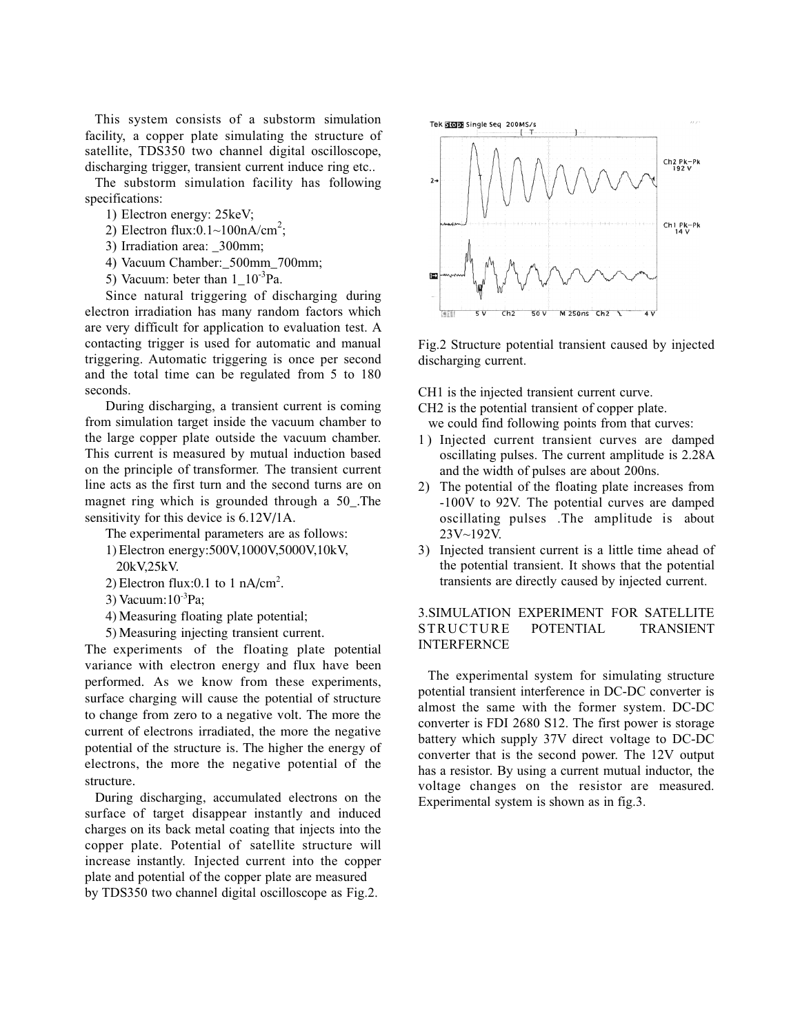This system consists of a substorm simulation facility, a copper plate simulating the structure of satellite, TDS350 two channel digital oscilloscope, discharging trigger, transient current induce ring etc..

 The substorm simulation facility has following specifications:

- 1) Electron energy: 25keV;
- 2) Electron flux: $0.1 \sim 100 \text{nA/cm}^2$ ;
- 3) Irradiation area:  $300$ mm;
- 4) Vacuum Chamber:\_500mm\_700mm;
- 5) Vacuum: beter than  $1 \text{ } 10^{-3}$ Pa.

Since natural triggering of discharging during electron irradiation has many random factors which are very difficult for application to evaluation test. A contacting trigger is used for automatic and manual triggering. Automatic triggering is once per second and the total time can be regulated from 5 to 180 seconds.

During discharging, a transient current is coming from simulation target inside the vacuum chamber to the large copper plate outside the vacuum chamber. This current is measured by mutual induction based on the principle of transformer. The transient current line acts as the first turn and the second turns are on magnet ring which is grounded through a 50\_.The sensitivity for this device is 6.12V/1A.

The experimental parameters are as follows:

- 1) Electron energy:500V,1000V,5000V,10kV, 20kV,25kV.
- 2) Electron flux:0.1 to 1  $nA/cm^2$ .
- 3) Vacuum: $10^{-3}$ Pa:
- 4) Measuring floating plate potential;
- 5) Measuring injecting transient current.

The experiments of the floating plate potential variance with electron energy and flux have been performed. As we know from these experiments, surface charging will cause the potential of structure to change from zero to a negative volt. The more the current of electrons irradiated, the more the negative potential of the structure is. The higher the energy of electrons, the more the negative potential of the structure.

 During discharging, accumulated electrons on the surface of target disappear instantly and induced charges on its back metal coating that injects into the copper plate. Potential of satellite structure will increase instantly. Injected current into the copper plate and potential of the copper plate are measured by TDS350 two channel digital oscilloscope as Fig.2.



Fig.2 Structure potential transient caused by injected discharging current.

CH1 is the injected transient current curve.

CH2 is the potential transient of copper plate. we could find following points from that curves:

- 1 ) Injected current transient curves are damped oscillating pulses. The current amplitude is 2.28A and the width of pulses are about 200ns.
- 2) The potential of the floating plate increases from -100V to 92V. The potential curves are damped oscillating pulses .The amplitude is about 23V~192V.
- 3) Injected transient current is a little time ahead of the potential transient. It shows that the potential transients are directly caused by injected current.

## 3.SIMULATION EXPERIMENT FOR SATELLITE STRUCTURE POTENTIAL TRANSIENT INTERFERNCE

 The experimental system for simulating structure potential transient interference in DC-DC converter is almost the same with the former system. DC-DC converter is FDI 2680 S12. The first power is storage battery which supply 37V direct voltage to DC-DC converter that is the second power. The 12V output has a resistor. By using a current mutual inductor, the voltage changes on the resistor are measured. Experimental system is shown as in fig.3.